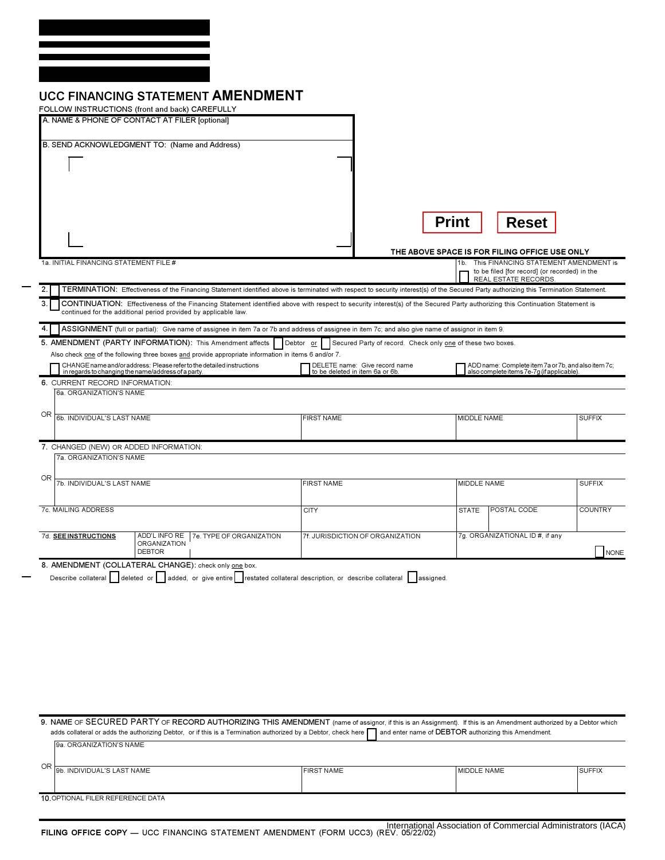| <b>UCC FINANCING STATEMENT AMENDMENT</b> |
|------------------------------------------|
|------------------------------------------|

| FOLLOW INSTRUCTIONS (front and back) CAREFULLY                                                                                                                                                                                                                                     |                                  |                                                                                                          |                |  |
|------------------------------------------------------------------------------------------------------------------------------------------------------------------------------------------------------------------------------------------------------------------------------------|----------------------------------|----------------------------------------------------------------------------------------------------------|----------------|--|
| A. NAME & PHONE OF CONTACT AT FILER [optional]                                                                                                                                                                                                                                     |                                  |                                                                                                          |                |  |
| B. SEND ACKNOWLEDGMENT TO: (Name and Address)                                                                                                                                                                                                                                      |                                  |                                                                                                          |                |  |
|                                                                                                                                                                                                                                                                                    |                                  |                                                                                                          |                |  |
|                                                                                                                                                                                                                                                                                    |                                  |                                                                                                          |                |  |
|                                                                                                                                                                                                                                                                                    |                                  |                                                                                                          |                |  |
|                                                                                                                                                                                                                                                                                    |                                  |                                                                                                          |                |  |
|                                                                                                                                                                                                                                                                                    |                                  |                                                                                                          |                |  |
|                                                                                                                                                                                                                                                                                    | <b>Print</b>                     | <b>Reset</b>                                                                                             |                |  |
|                                                                                                                                                                                                                                                                                    |                                  |                                                                                                          |                |  |
| 1a. INITIAL FINANCING STATEMENT FILE #                                                                                                                                                                                                                                             |                                  | THE ABOVE SPACE IS FOR FILING OFFICE USE ONLY<br>This FINANCING STATEMENT AMENDMENT is<br>1 <sub>b</sub> |                |  |
|                                                                                                                                                                                                                                                                                    |                                  | to be filed [for record] (or recorded) in the<br>REAL ESTATE RECORDS.                                    |                |  |
| TERMINATION: Effectiveness of the Financing Statement identified above is terminated with respect to security interest(s) of the Secured Party authorizing this Termination Statement.<br>2.                                                                                       |                                  |                                                                                                          |                |  |
| CONTINUATION: Effectiveness of the Financing Statement identified above with respect to security interest(s) of the Secured Party authorizing this Continuation Statement is<br>3.                                                                                                 |                                  |                                                                                                          |                |  |
| continued for the additional period provided by applicable law.                                                                                                                                                                                                                    |                                  |                                                                                                          |                |  |
| ASSIGNMENT (full or partial): Give name of assignee in item 7a or 7b and address of assignee in item 7c; and also give name of assignor in item 9.<br>4.                                                                                                                           |                                  |                                                                                                          |                |  |
| 5. AMENDMENT (PARTY INFORMATION): This Amendment affects<br>Secured Party of record. Check only one of these two boxes.<br>Debtor or<br>Also check one of the following three boxes and provide appropriate information in items 6 and/or 7.                                       |                                  |                                                                                                          |                |  |
| CHANGE name and/or address: Please refer to the detailed instructions                                                                                                                                                                                                              | DELETE name: Give record name    | ADD name: Complete item 7a or 7b, and also item 7c;<br>also complete items 7e-7g (if applicable).        |                |  |
| in regards to changing the name/address of a party.<br>6. CURRENT RECORD INFORMATION:                                                                                                                                                                                              | to be deleted in item 6a or 6b.  |                                                                                                          |                |  |
| 6a. ORGANIZATION'S NAME                                                                                                                                                                                                                                                            |                                  |                                                                                                          |                |  |
|                                                                                                                                                                                                                                                                                    |                                  |                                                                                                          |                |  |
| OR<br>6b. INDIVIDUAL'S LAST NAME                                                                                                                                                                                                                                                   | <b>FIRST NAME</b>                | MIDDLE NAME                                                                                              | <b>SUFFIX</b>  |  |
|                                                                                                                                                                                                                                                                                    |                                  |                                                                                                          |                |  |
| 7. CHANGED (NEW) OR ADDED INFORMATION:                                                                                                                                                                                                                                             |                                  |                                                                                                          |                |  |
| 7a. ORGANIZATION'S NAME                                                                                                                                                                                                                                                            |                                  |                                                                                                          |                |  |
| OR<br>7b. INDIVIDUAL'S LAST NAME                                                                                                                                                                                                                                                   | <b>FIRST NAME</b>                | MIDDLE NAME                                                                                              | <b>SUFFIX</b>  |  |
|                                                                                                                                                                                                                                                                                    |                                  |                                                                                                          |                |  |
| 7c. MAILING ADDRESS                                                                                                                                                                                                                                                                | <b>CITY</b>                      | <b>STATE</b><br>POSTAL CODE                                                                              | <b>COUNTRY</b> |  |
|                                                                                                                                                                                                                                                                                    |                                  |                                                                                                          |                |  |
| ADD'L INFO RE<br>7e. TYPE OF ORGANIZATION<br>7d. SEE INSTRUCTIONS<br><b>ORGANIZATION</b>                                                                                                                                                                                           | 7f. JURISDICTION OF ORGANIZATION | 7g. ORGANIZATIONAL ID #, if any                                                                          |                |  |
| <b>DEBTOR</b>                                                                                                                                                                                                                                                                      |                                  |                                                                                                          | NONE           |  |
| 8. AMENDMENT (COLLATERAL CHANGE): check only one box.                                                                                                                                                                                                                              |                                  |                                                                                                          |                |  |
| Describe collateral deleted or added, or give entire restated collateral description, or describe collateral assigned.                                                                                                                                                             |                                  |                                                                                                          |                |  |
|                                                                                                                                                                                                                                                                                    |                                  |                                                                                                          |                |  |
|                                                                                                                                                                                                                                                                                    |                                  |                                                                                                          |                |  |
|                                                                                                                                                                                                                                                                                    |                                  |                                                                                                          |                |  |
|                                                                                                                                                                                                                                                                                    |                                  |                                                                                                          |                |  |
|                                                                                                                                                                                                                                                                                    |                                  |                                                                                                          |                |  |
|                                                                                                                                                                                                                                                                                    |                                  |                                                                                                          |                |  |
|                                                                                                                                                                                                                                                                                    |                                  |                                                                                                          |                |  |
|                                                                                                                                                                                                                                                                                    |                                  |                                                                                                          |                |  |
|                                                                                                                                                                                                                                                                                    |                                  |                                                                                                          |                |  |
| 9. NAME OF SECURED PARTY OF RECORD AUTHORIZING THIS AMENDMENT (name of assignor, if this is an Assignment). If this is an Amendment authorized by a Debtor which<br>adds collateral or adds the authorizing Debtor, or if this is a Termination authorized by a Debtor, check here |                                  | and enter name of DEBTOR authorizing this Amendment.                                                     |                |  |
| 9a. ORGANIZATION'S NAME                                                                                                                                                                                                                                                            |                                  |                                                                                                          |                |  |
|                                                                                                                                                                                                                                                                                    |                                  |                                                                                                          |                |  |
| OR<br>9b. INDIVIDUAL'S LAST NAME                                                                                                                                                                                                                                                   | <b>FIRST NAME</b>                | MIDDLE NAME                                                                                              | <b>SUFFIX</b>  |  |
|                                                                                                                                                                                                                                                                                    |                                  |                                                                                                          |                |  |
| 10. OPTIONAL FILER REFERENCE DATA                                                                                                                                                                                                                                                  |                                  |                                                                                                          |                |  |
|                                                                                                                                                                                                                                                                                    |                                  |                                                                                                          |                |  |
|                                                                                                                                                                                                                                                                                    |                                  | International Association of Commercial Administrators (IACA)                                            |                |  |